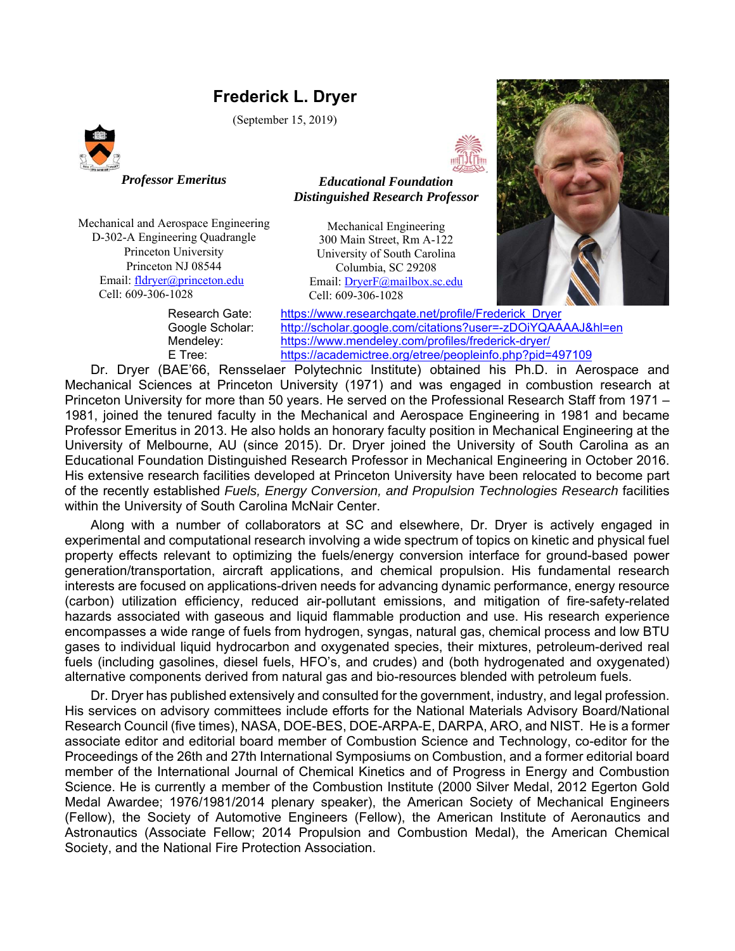# **Frederick L. Dryer**

(September 15, 2019)



*Professor Emeritus* 

*Educational Foundation Distinguished Research Professor*

Mechanical and Aerospace Engineering D-302-A Engineering Quadrangle Princeton University Princeton NJ 08544 Email: fldryer@princeton.edu Cell: 609-306-1028

Mechanical Engineering 300 Main Street, Rm A-122 University of South Carolina Columbia, SC 29208 Email: DryerF@mailbox.sc.edu Cell: 609-306-1028



 Research Gate: https://www.researchgate.net/profile/Frederick\_Dryer Google Scholar: http://scholar.google.com/citations?user=-zDOiYQAAAAJ&hl=en Mendeley: https://www.mendeley.com/profiles/frederick-dryer/ E Tree: https://academictree.org/etree/peopleinfo.php?pid=497109

Dr. Dryer (BAE'66, Rensselaer Polytechnic Institute) obtained his Ph.D. in Aerospace and Mechanical Sciences at Princeton University (1971) and was engaged in combustion research at Princeton University for more than 50 years. He served on the Professional Research Staff from 1971 – 1981, joined the tenured faculty in the Mechanical and Aerospace Engineering in 1981 and became Professor Emeritus in 2013. He also holds an honorary faculty position in Mechanical Engineering at the University of Melbourne, AU (since 2015). Dr. Dryer joined the University of South Carolina as an Educational Foundation Distinguished Research Professor in Mechanical Engineering in October 2016. His extensive research facilities developed at Princeton University have been relocated to become part of the recently established *Fuels, Energy Conversion, and Propulsion Technologies Research* facilities within the University of South Carolina McNair Center.

Along with a number of collaborators at SC and elsewhere, Dr. Dryer is actively engaged in experimental and computational research involving a wide spectrum of topics on kinetic and physical fuel property effects relevant to optimizing the fuels/energy conversion interface for ground-based power generation/transportation, aircraft applications, and chemical propulsion. His fundamental research interests are focused on applications-driven needs for advancing dynamic performance, energy resource (carbon) utilization efficiency, reduced air-pollutant emissions, and mitigation of fire-safety-related hazards associated with gaseous and liquid flammable production and use. His research experience encompasses a wide range of fuels from hydrogen, syngas, natural gas, chemical process and low BTU gases to individual liquid hydrocarbon and oxygenated species, their mixtures, petroleum-derived real fuels (including gasolines, diesel fuels, HFO's, and crudes) and (both hydrogenated and oxygenated) alternative components derived from natural gas and bio-resources blended with petroleum fuels.

Dr. Dryer has published extensively and consulted for the government, industry, and legal profession. His services on advisory committees include efforts for the National Materials Advisory Board/National Research Council (five times), NASA, DOE-BES, DOE-ARPA-E, DARPA, ARO, and NIST. He is a former associate editor and editorial board member of Combustion Science and Technology, co-editor for the Proceedings of the 26th and 27th International Symposiums on Combustion, and a former editorial board member of the International Journal of Chemical Kinetics and of Progress in Energy and Combustion Science. He is currently a member of the Combustion Institute (2000 Silver Medal, 2012 Egerton Gold Medal Awardee; 1976/1981/2014 plenary speaker), the American Society of Mechanical Engineers (Fellow), the Society of Automotive Engineers (Fellow), the American Institute of Aeronautics and Astronautics (Associate Fellow; 2014 Propulsion and Combustion Medal), the American Chemical Society, and the National Fire Protection Association.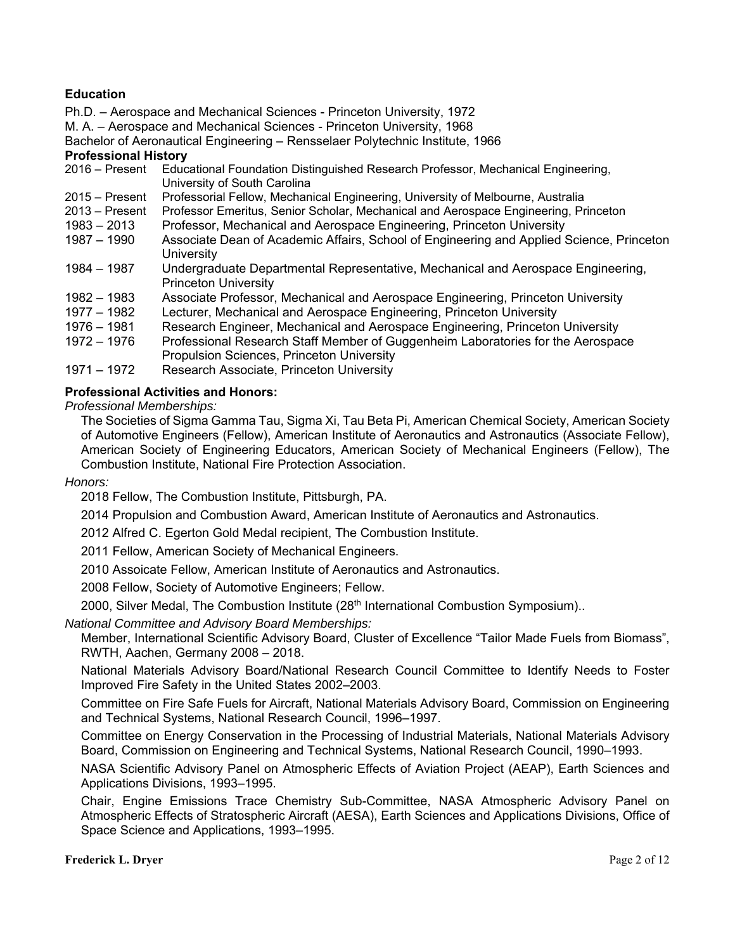# **Education**

Ph.D. – Aerospace and Mechanical Sciences - Princeton University, 1972

M. A. – Aerospace and Mechanical Sciences - Princeton University, 1968

Bachelor of Aeronautical Engineering – Rensselaer Polytechnic Institute, 1966

#### **Professional History**

- 2016 Present Educational Foundation Distinguished Research Professor, Mechanical Engineering, University of South Carolina
- 2015 Present Professorial Fellow, Mechanical Engineering, University of Melbourne, Australia<br>2013 Present Professor Emeritus, Senior Scholar, Mechanical and Aerospace Engineering. Pr
- Professor Emeritus, Senior Scholar, Mechanical and Aerospace Engineering, Princeton
- 1983 2013 Professor, Mechanical and Aerospace Engineering, Princeton University
- 1987 1990 Associate Dean of Academic Affairs, School of Engineering and Applied Science, Princeton **University**
- 1984 1987 Undergraduate Departmental Representative, Mechanical and Aerospace Engineering, Princeton University
- 1982 1983 Associate Professor, Mechanical and Aerospace Engineering, Princeton University
- 1977 1982 Lecturer, Mechanical and Aerospace Engineering, Princeton University
- 1976 1981 Research Engineer, Mechanical and Aerospace Engineering, Princeton University
- 1972 1976 Professional Research Staff Member of Guggenheim Laboratories for the Aerospace Propulsion Sciences, Princeton University
- 1971 1972 Research Associate, Princeton University

## **Professional Activities and Honors:**

*Professional Memberships:*

The Societies of Sigma Gamma Tau, Sigma Xi, Tau Beta Pi, American Chemical Society, American Society of Automotive Engineers (Fellow), American Institute of Aeronautics and Astronautics (Associate Fellow), American Society of Engineering Educators, American Society of Mechanical Engineers (Fellow), The Combustion Institute, National Fire Protection Association.

*Honors:* 

2018 Fellow, The Combustion Institute, Pittsburgh, PA.

2014 Propulsion and Combustion Award, American Institute of Aeronautics and Astronautics.

2012 Alfred C. Egerton Gold Medal recipient, The Combustion Institute.

2011 Fellow, American Society of Mechanical Engineers.

2010 Assoicate Fellow, American Institute of Aeronautics and Astronautics.

2008 Fellow, Society of Automotive Engineers; Fellow.

2000, Silver Medal, The Combustion Institute (28<sup>th</sup> International Combustion Symposium)..

#### *National Committee and Advisory Board Memberships:*

Member, International Scientific Advisory Board, Cluster of Excellence "Tailor Made Fuels from Biomass", RWTH, Aachen, Germany 2008 – 2018.

National Materials Advisory Board/National Research Council Committee to Identify Needs to Foster Improved Fire Safety in the United States 2002–2003.

Committee on Fire Safe Fuels for Aircraft, National Materials Advisory Board, Commission on Engineering and Technical Systems, National Research Council, 1996–1997.

Committee on Energy Conservation in the Processing of Industrial Materials, National Materials Advisory Board, Commission on Engineering and Technical Systems, National Research Council, 1990–1993.

NASA Scientific Advisory Panel on Atmospheric Effects of Aviation Project (AEAP), Earth Sciences and Applications Divisions, 1993–1995.

Chair, Engine Emissions Trace Chemistry Sub-Committee, NASA Atmospheric Advisory Panel on Atmospheric Effects of Stratospheric Aircraft (AESA), Earth Sciences and Applications Divisions, Office of Space Science and Applications, 1993–1995.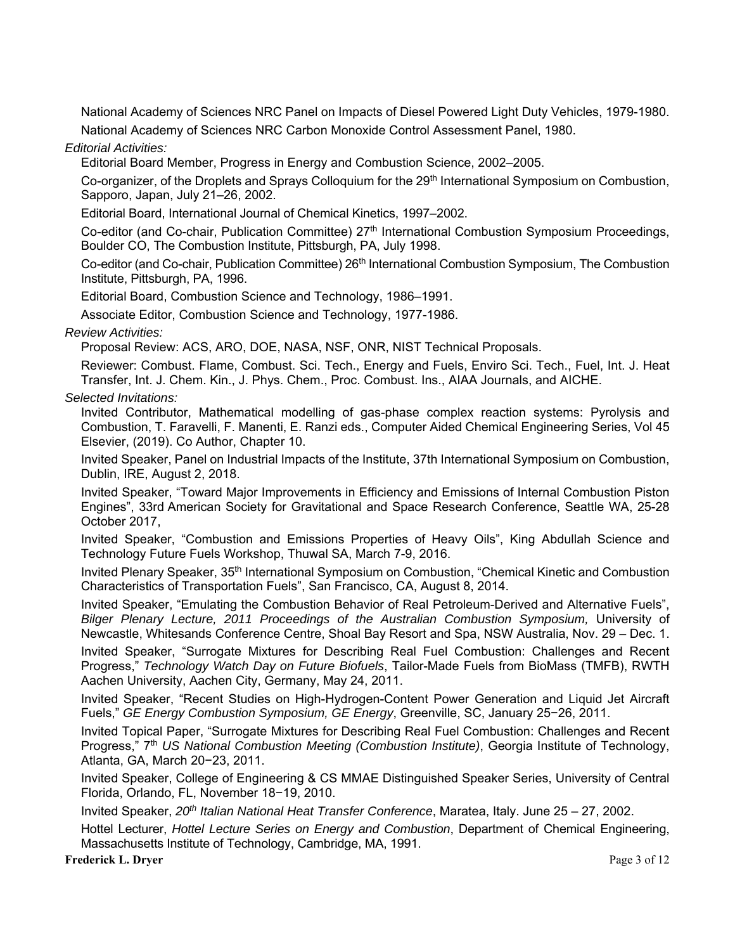National Academy of Sciences NRC Panel on Impacts of Diesel Powered Light Duty Vehicles, 1979-1980. National Academy of Sciences NRC Carbon Monoxide Control Assessment Panel, 1980.

## *Editorial Activities:*

Editorial Board Member, Progress in Energy and Combustion Science, 2002–2005.

Co-organizer, of the Droplets and Sprays Colloquium for the 29<sup>th</sup> International Symposium on Combustion, Sapporo, Japan, July 21–26, 2002.

Editorial Board, International Journal of Chemical Kinetics, 1997–2002.

Co-editor (and Co-chair, Publication Committee) 27<sup>th</sup> International Combustion Symposium Proceedings, Boulder CO, The Combustion Institute, Pittsburgh, PA, July 1998.

Co-editor (and Co-chair, Publication Committee) 26<sup>th</sup> International Combustion Symposium, The Combustion Institute, Pittsburgh, PA, 1996.

Editorial Board, Combustion Science and Technology, 1986–1991.

Associate Editor, Combustion Science and Technology, 1977-1986.

## *Review Activities:*

Proposal Review: ACS, ARO, DOE, NASA, NSF, ONR, NIST Technical Proposals.

Reviewer: Combust. Flame, Combust. Sci. Tech., Energy and Fuels, Enviro Sci. Tech., Fuel, Int. J. Heat Transfer, Int. J. Chem. Kin., J. Phys. Chem., Proc. Combust. Ins., AIAA Journals, and AICHE.

## *Selected Invitations:*

Invited Contributor, Mathematical modelling of gas-phase complex reaction systems: Pyrolysis and Combustion, T. Faravelli, F. Manenti, E. Ranzi eds., Computer Aided Chemical Engineering Series, Vol 45 Elsevier, (2019). Co Author, Chapter 10.

Invited Speaker, Panel on Industrial Impacts of the Institute, 37th International Symposium on Combustion, Dublin, IRE, August 2, 2018.

Invited Speaker, "Toward Major Improvements in Efficiency and Emissions of Internal Combustion Piston Engines", 33rd American Society for Gravitational and Space Research Conference, Seattle WA, 25-28 October 2017,

Invited Speaker, "Combustion and Emissions Properties of Heavy Oils", King Abdullah Science and Technology Future Fuels Workshop, Thuwal SA, March 7-9, 2016.

Invited Plenary Speaker, 35<sup>th</sup> International Symposium on Combustion, "Chemical Kinetic and Combustion Characteristics of Transportation Fuels", San Francisco, CA, August 8, 2014.

Invited Speaker, "Emulating the Combustion Behavior of Real Petroleum-Derived and Alternative Fuels", Bilger Plenary Lecture, 2011 Proceedings of the Australian Combustion Symposium, University of Newcastle, Whitesands Conference Centre, Shoal Bay Resort and Spa, NSW Australia, Nov. 29 – Dec. 1.

Invited Speaker, "Surrogate Mixtures for Describing Real Fuel Combustion: Challenges and Recent Progress," *Technology Watch Day on Future Biofuels*, Tailor-Made Fuels from BioMass (TMFB), RWTH Aachen University, Aachen City, Germany, May 24, 2011.

Invited Speaker, "Recent Studies on High-Hydrogen-Content Power Generation and Liquid Jet Aircraft Fuels," *GE Energy Combustion Symposium, GE Energy*, Greenville, SC, January 25−26, 2011.

Invited Topical Paper, "Surrogate Mixtures for Describing Real Fuel Combustion: Challenges and Recent Progress," 7<sup>th</sup> US National Combustion Meeting (Combustion Institute), Georgia Institute of Technology, Atlanta, GA, March 20−23, 2011.

Invited Speaker, College of Engineering & CS MMAE Distinguished Speaker Series, University of Central Florida, Orlando, FL, November 18−19, 2010.

Invited Speaker, *20th Italian National Heat Transfer Conference*, Maratea, Italy. June 25 – 27, 2002.

Hottel Lecturer, *Hottel Lecture Series on Energy and Combustion*, Department of Chemical Engineering, Massachusetts Institute of Technology, Cambridge, MA, 1991.

#### **Frederick L. Dryer** Page 3 of 12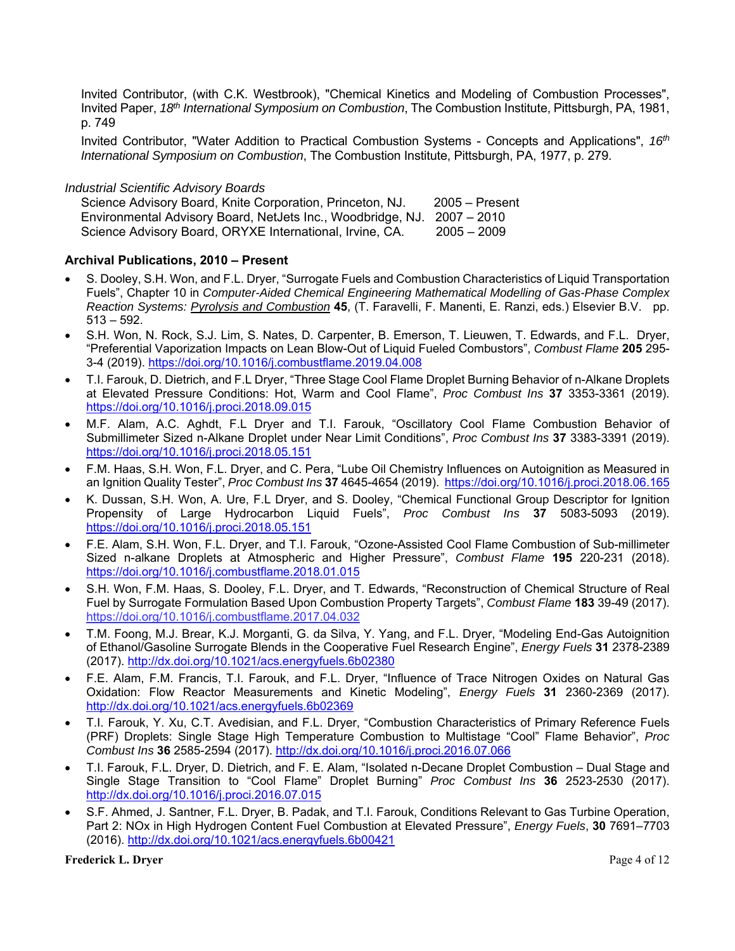Invited Contributor, (with C.K. Westbrook), "Chemical Kinetics and Modeling of Combustion Processes", Invited Paper, *18th International Symposium on Combustion*, The Combustion Institute, Pittsburgh, PA, 1981, p. 749

Invited Contributor, "Water Addition to Practical Combustion Systems - Concepts and Applications", *16th International Symposium on Combustion*, The Combustion Institute, Pittsburgh, PA, 1977, p. 279.

#### *Industrial Scientific Advisory Boards*

Science Advisory Board, Knite Corporation, Princeton, NJ. 2005 – Present Environmental Advisory Board, NetJets Inc., Woodbridge, NJ. 2007 – 2010 Science Advisory Board, ORYXE International, Irvine, CA. 2005 - 2009

## **Archival Publications, 2010 – Present**

- S. Dooley, S.H. Won, and F.L. Dryer, "Surrogate Fuels and Combustion Characteristics of Liquid Transportation Fuels", Chapter 10 in *Computer-Aided Chemical Engineering Mathematical Modelling of Gas-Phase Complex Reaction Systems: Pyrolysis and Combustion* **45**, (T. Faravelli, F. Manenti, E. Ranzi, eds.) Elsevier B.V. pp. 513 – 592.
- S.H. Won, N. Rock, S.J. Lim, S. Nates, D. Carpenter, B. Emerson, T. Lieuwen, T. Edwards, and F.L. Dryer, "Preferential Vaporization Impacts on Lean Blow-Out of Liquid Fueled Combustors", *Combust Flame* **205** 295- 3-4 (2019). https://doi.org/10.1016/j.combustflame.2019.04.008
- T.I. Farouk, D. Dietrich, and F.L Dryer, "Three Stage Cool Flame Droplet Burning Behavior of n-Alkane Droplets at Elevated Pressure Conditions: Hot, Warm and Cool Flame", *Proc Combust Ins* **37** 3353-3361 (2019). https://doi.org/10.1016/j.proci.2018.09.015
- M.F. Alam, A.C. Aghdt, F.L Dryer and T.I. Farouk, "Oscillatory Cool Flame Combustion Behavior of Submillimeter Sized n-Alkane Droplet under Near Limit Conditions", *Proc Combust Ins* **37** 3383-3391 (2019). https://doi.org/10.1016/j.proci.2018.05.151
- F.M. Haas, S.H. Won, F.L. Dryer, and C. Pera, "Lube Oil Chemistry Influences on Autoignition as Measured in an Ignition Quality Tester", *Proc Combust Ins* **37** 4645-4654 (2019).https://doi.org/10.1016/j.proci.2018.06.165
- K. Dussan, S.H. Won, A. Ure, F.L Dryer, and S. Dooley, "Chemical Functional Group Descriptor for Ignition Propensity of Large Hydrocarbon Liquid Fuels", *Proc Combust Ins* **37** 5083-5093 (2019). https://doi.org/10.1016/j.proci.2018.05.151
- F.E. Alam, S.H. Won, F.L. Dryer, and T.I. Farouk, "Ozone-Assisted Cool Flame Combustion of Sub-millimeter Sized n-alkane Droplets at Atmospheric and Higher Pressure", *Combust Flame* **195** 220-231 (2018). https://doi.org/10.1016/j.combustflame.2018.01.015
- S.H. Won, F.M. Haas, S. Dooley, F.L. Dryer, and T. Edwards, "Reconstruction of Chemical Structure of Real Fuel by Surrogate Formulation Based Upon Combustion Property Targets", *Combust Flame* **183** 39-49 (2017). https://doi.org/10.1016/j.combustflame.2017.04.032
- T.M. Foong, M.J. Brear, K.J. Morganti, G. da Silva, Y. Yang, and F.L. Dryer, "Modeling End-Gas Autoignition of Ethanol/Gasoline Surrogate Blends in the Cooperative Fuel Research Engine", *Energy Fuels* **31** 2378-2389 (2017). http://dx.doi.org/10.1021/acs.energyfuels.6b02380
- F.E. Alam, F.M. Francis, T.I. Farouk, and F.L. Dryer, "Influence of Trace Nitrogen Oxides on Natural Gas Oxidation: Flow Reactor Measurements and Kinetic Modeling", *Energy Fuels* **31** 2360-2369 (2017). http://dx.doi.org/10.1021/acs.energyfuels.6b02369
- T.I. Farouk, Y. Xu, C.T. Avedisian, and F.L. Dryer, "Combustion Characteristics of Primary Reference Fuels (PRF) Droplets: Single Stage High Temperature Combustion to Multistage "Cool" Flame Behavior", *Proc Combust Ins* **36** 2585-2594 (2017). http://dx.doi.org/10.1016/j.proci.2016.07.066
- T.I. Farouk, F.L. Dryer, D. Dietrich, and F. E. Alam, "Isolated n-Decane Droplet Combustion Dual Stage and Single Stage Transition to "Cool Flame" Droplet Burning" *Proc Combust Ins* **36** 2523-2530 (2017). http://dx.doi.org/10.1016/j.proci.2016.07.015
- S.F. Ahmed, J. Santner, F.L. Dryer, B. Padak, and T.I. Farouk, Conditions Relevant to Gas Turbine Operation, Part 2: NOx in High Hydrogen Content Fuel Combustion at Elevated Pressure", *Energy Fuels*, **30** 7691–7703 (2016). http://dx.doi.org/10.1021/acs.energyfuels.6b00421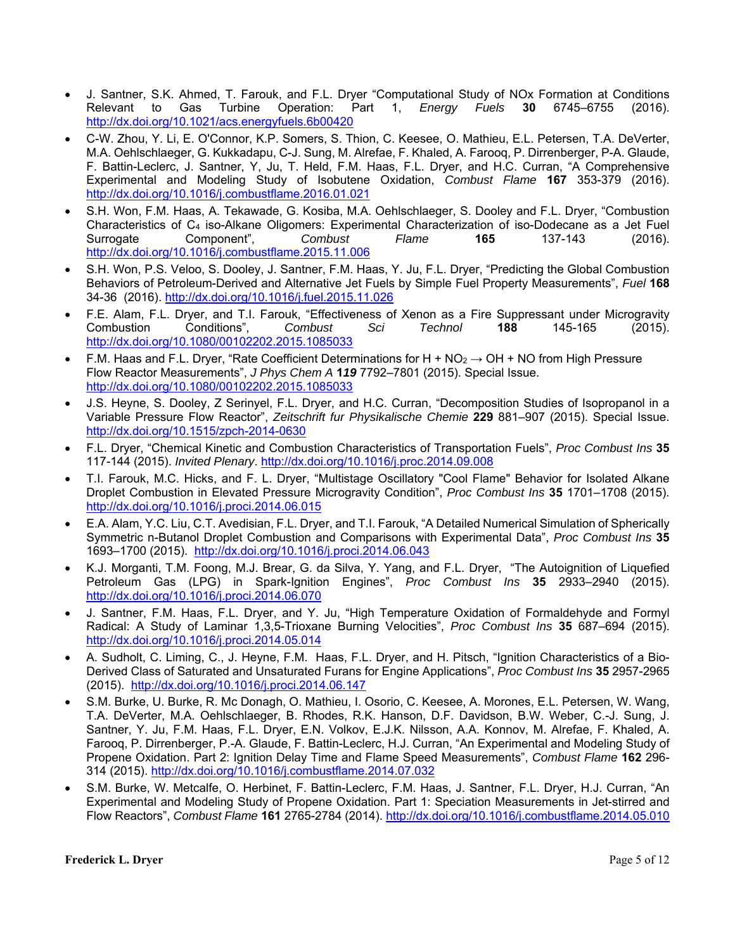- J. Santner, S.K. Ahmed, T. Farouk, and F.L. Dryer "Computational Study of NOx Formation at Conditions Relevant to Gas Turbine Operation: Part 1, *Energy Fuels* **30** 6745–6755 (2016). http://dx.doi.org/10.1021/acs.energyfuels.6b00420
- C-W. Zhou, Y. Li, E. O'Connor, K.P. Somers, S. Thion, C. Keesee, O. Mathieu, E.L. Petersen, T.A. DeVerter, M.A. Oehlschlaeger, G. Kukkadapu, C-J. Sung, M. Alrefae, F. Khaled, A. Farooq, P. Dirrenberger, P-A. Glaude, F. Battin-Leclerc, J. Santner, Y, Ju, T. Held, F.M. Haas, F.L. Dryer, and H.C. Curran, "A Comprehensive Experimental and Modeling Study of Isobutene Oxidation, *Combust Flame* **167** 353-379 (2016). http://dx.doi.org/10.1016/j.combustflame.2016.01.021
- S.H. Won, F.M. Haas, A. Tekawade, G. Kosiba, M.A. Oehlschlaeger, S. Dooley and F.L. Dryer, "Combustion Characteristics of C4 iso-Alkane Oligomers: Experimental Characterization of iso-Dodecane as a Jet Fuel Surrogate Component", *Combust Flame* **165** 137-143 (2016). http://dx.doi.org/10.1016/j.combustflame.2015.11.006
- S.H. Won, P.S. Veloo, S. Dooley, J. Santner, F.M. Haas, Y. Ju, F.L. Dryer, "Predicting the Global Combustion Behaviors of Petroleum-Derived and Alternative Jet Fuels by Simple Fuel Property Measurements", *Fuel* **168** 34-36 (2016). http://dx.doi.org/10.1016/j.fuel.2015.11.026
- F.E. Alam, F.L. Dryer, and T.I. Farouk, "Effectiveness of Xenon as a Fire Suppressant under Microgravity Combustion Conditions", *Combust Sci Technol* **188** 145-165 (2015). http://dx.doi.org/10.1080/00102202.2015.1085033
- F.M. Haas and F.L. Drver, "Rate Coefficient Determinations for H + NO<sub>2</sub>  $\rightarrow$  OH + NO from High Pressure Flow Reactor Measurements", *J Phys Chem A* **1***19* 7792–7801 (2015). Special Issue. http://dx.doi.org/10.1080/00102202.2015.1085033
- J.S. Heyne, S. Dooley, Z Serinyel, F.L. Dryer, and H.C. Curran, "Decomposition Studies of Isopropanol in a Variable Pressure Flow Reactor", *Zeitschrift fur Physikalische Chemie* **229** 881–907 (2015). Special Issue. http://dx.doi.org/10.1515/zpch-2014-0630
- F.L. Dryer, "Chemical Kinetic and Combustion Characteristics of Transportation Fuels", *Proc Combust Ins* **35** 117-144 (2015). *Invited Plenary*. http://dx.doi.org/10.1016/j.proc.2014.09.008
- T.I. Farouk, M.C. Hicks, and F. L. Dryer, "Multistage Oscillatory "Cool Flame" Behavior for Isolated Alkane Droplet Combustion in Elevated Pressure Microgravity Condition", *Proc Combust Ins* **35** 1701–1708 (2015). http://dx.doi.org/10.1016/j.proci.2014.06.015
- E.A. Alam, Y.C. Liu, C.T. Avedisian, F.L. Dryer, and T.I. Farouk, "A Detailed Numerical Simulation of Spherically Symmetric n-Butanol Droplet Combustion and Comparisons with Experimental Data", *Proc Combust Ins* **35** 1693–1700 (2015). http://dx.doi.org/10.1016/j.proci.2014.06.043
- K.J. Morganti, T.M. Foong, M.J. Brear, G. da Silva, Y. Yang, and F.L. Dryer, "The Autoignition of Liquefied Petroleum Gas (LPG) in Spark-Ignition Engines", *Proc Combust Ins* **35** 2933–2940 (2015). http://dx.doi.org/10.1016/j.proci.2014.06.070
- J. Santner, F.M. Haas, F.L. Dryer, and Y. Ju, "High Temperature Oxidation of Formaldehyde and Formyl Radical: A Study of Laminar 1,3,5-Trioxane Burning Velocities", *Proc Combust Ins* **35** 687–694 (2015). http://dx.doi.org/10.1016/j.proci.2014.05.014
- A. Sudholt, C. Liming, C., J. Heyne, F.M. Haas, F.L. Dryer, and H. Pitsch, "Ignition Characteristics of a Bio-Derived Class of Saturated and Unsaturated Furans for Engine Applications", *Proc Combust Ins* **35** 2957-2965 (2015). http://dx.doi.org/10.1016/j.proci.2014.06.147
- S.M. Burke, U. Burke, R. Mc Donagh, O. Mathieu, I. Osorio, C. Keesee, A. Morones, E.L. Petersen, W. Wang, T.A. DeVerter, M.A. Oehlschlaeger, B. Rhodes, R.K. Hanson, D.F. Davidson, B.W. Weber, C.-J. Sung, J. Santner, Y. Ju, F.M. Haas, F.L. Dryer, E.N. Volkov, E.J.K. Nilsson, A.A. Konnov, M. Alrefae, F. Khaled, A. Farooq, P. Dirrenberger, P.-A. Glaude, F. Battin-Leclerc, H.J. Curran, "An Experimental and Modeling Study of Propene Oxidation. Part 2: Ignition Delay Time and Flame Speed Measurements", *Combust Flame* **162** 296- 314 (2015). http://dx.doi.org/10.1016/j.combustflame.2014.07.032
- S.M. Burke, W. Metcalfe, O. Herbinet, F. Battin-Leclerc, F.M. Haas, J. Santner, F.L. Dryer, H.J. Curran, "An Experimental and Modeling Study of Propene Oxidation. Part 1: Speciation Measurements in Jet-stirred and Flow Reactors", *Combust Flame* **161** 2765-2784 (2014). http://dx.doi.org/10.1016/j.combustflame.2014.05.010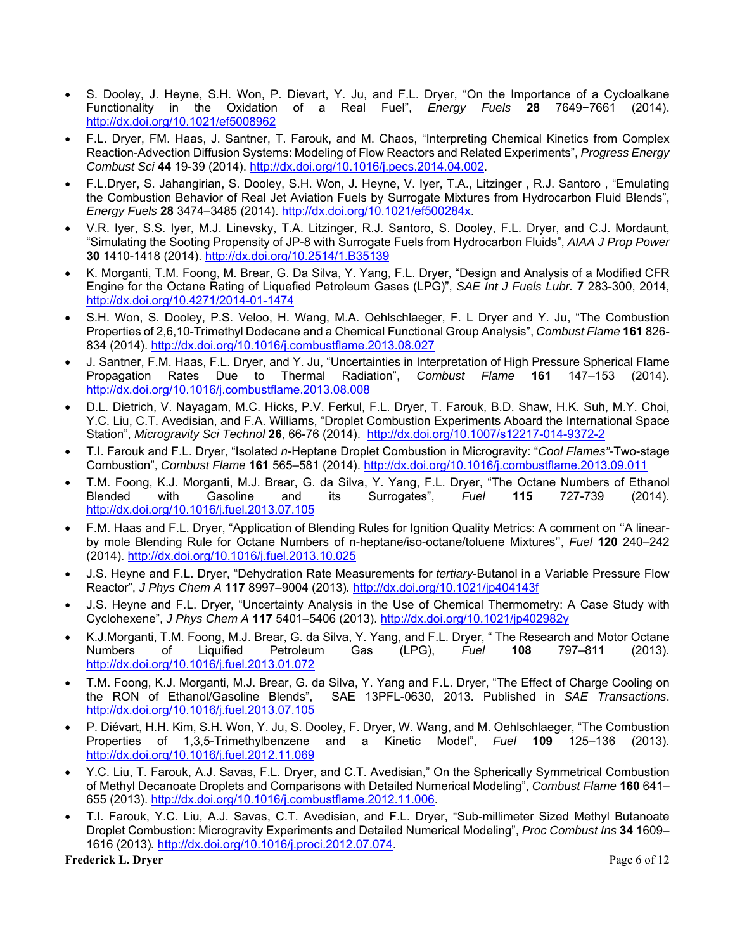- S. Dooley, J. Heyne, S.H. Won, P. Dievart, Y. Ju, and F.L. Dryer, "On the Importance of a Cycloalkane Functionality in the Oxidation of a Real Fuel", *Energy Fuels* **28** 7649−7661 (2014). http://dx.doi.org/10.1021/ef5008962
- F.L. Dryer, FM. Haas, J. Santner, T. Farouk, and M. Chaos, "Interpreting Chemical Kinetics from Complex Reaction-Advection Diffusion Systems: Modeling of Flow Reactors and Related Experiments", *Progress Energy Combust Sci* **44** 19-39 (2014). http://dx.doi.org/10.1016/j.pecs.2014.04.002.
- F.L.Dryer, S. Jahangirian, S. Dooley, S.H. Won, J. Heyne, V. Iyer, T.A., Litzinger , R.J. Santoro , "Emulating the Combustion Behavior of Real Jet Aviation Fuels by Surrogate Mixtures from Hydrocarbon Fluid Blends", *Energy Fuels* **28** 3474–3485 (2014). http://dx.doi.org/10.1021/ef500284x.
- V.R. Iyer, S.S. Iyer, M.J. Linevsky, T.A. Litzinger, R.J. Santoro, S. Dooley, F.L. Dryer, and C.J. Mordaunt, "Simulating the Sooting Propensity of JP-8 with Surrogate Fuels from Hydrocarbon Fluids", *AIAA J Prop Power* **30** 1410-1418 (2014). http://dx.doi.org/10.2514/1.B35139
- K. Morganti, T.M. Foong, M. Brear, G. Da Silva, Y. Yang, F.L. Dryer, "Design and Analysis of a Modified CFR Engine for the Octane Rating of Liquefied Petroleum Gases (LPG)", *SAE Int J Fuels Lubr.* **7** 283-300, 2014, http://dx.doi.org/10.4271/2014-01-1474
- S.H. Won, S. Dooley, P.S. Veloo, H. Wang, M.A. Oehlschlaeger, F. L Dryer and Y. Ju, "The Combustion Properties of 2,6,10-Trimethyl Dodecane and a Chemical Functional Group Analysis", *Combust Flame* **161** 826- 834 (2014). http://dx.doi.org/10.1016/j.combustflame.2013.08.027
- J. Santner, F.M. Haas, F.L. Dryer, and Y. Ju, "Uncertainties in Interpretation of High Pressure Spherical Flame<br>Propagation Rates Due to Thermal Radiation", Combust Flame 161 147–153 (2014). Thermal Radiation", *Combust Flame* 161 147–153 (2014). http://dx.doi.org/10.1016/j.combustflame.2013.08.008
- D.L. Dietrich, V. Nayagam, M.C. Hicks, P.V. Ferkul, F.L. Dryer, T. Farouk, B.D. Shaw, H.K. Suh, M.Y. Choi, Y.C. Liu, C.T. Avedisian, and F.A. Williams, "Droplet Combustion Experiments Aboard the International Space Station", *Microgravity Sci Technol* **26**, 66-76 (2014). http://dx.doi.org/10.1007/s12217-014-9372-2
- T.I. Farouk and F.L. Dryer, "Isolated *n*-Heptane Droplet Combustion in Microgravity: "*Cool Flames"-*Two-stage Combustion", *Combust Flame* **161** 565–581 (2014). http://dx.doi.org/10.1016/j.combustflame.2013.09.011
- T.M. Foong, K.J. Morganti, M.J. Brear, G. da Silva, Y. Yang, F.L. Dryer, "The Octane Numbers of Ethanol Blended with Gasoline and its Surrogates", *Fuel* **115** 727-739 (2014). http://dx.doi.org/10.1016/j.fuel.2013.07.105
- F.M. Haas and F.L. Dryer, "Application of Blending Rules for Ignition Quality Metrics: A comment on ''A linearby mole Blending Rule for Octane Numbers of n-heptane/iso-octane/toluene Mixtures'', *Fuel* **120** 240–242 (2014). http://dx.doi.org/10.1016/j.fuel.2013.10.025
- J.S. Heyne and F.L. Dryer, "Dehydration Rate Measurements for *tertiary*-Butanol in a Variable Pressure Flow Reactor", *J Phys Chem A* **117** 8997–9004 (2013)*.* http://dx.doi.org/10.1021/jp404143f
- J.S. Heyne and F.L. Dryer, "Uncertainty Analysis in the Use of Chemical Thermometry: A Case Study with Cyclohexene", *J Phys Chem A* **117** 5401–5406 (2013). http://dx.doi.org/10.1021/jp402982y
- K.J.Morganti, T.M. Foong, M.J. Brear, G. da Silva, Y. Yang, and F.L. Dryer, " The Research and Motor Octane Numbers of Liquified Petroleum Gas (LPG), *Fuel* **108** 797–811 (2013). http://dx.doi.org/10.1016/j.fuel.2013.01.072
- T.M. Foong, K.J. Morganti, M.J. Brear, G. da Silva, Y. Yang and F.L. Dryer, "The Effect of Charge Cooling on the RON of Ethanol/Gasoline Blends", SAE 13PFL-0630, 2013. Published in SAE Transactions. SAE 13PFL-0630, 2013. Published in *SAE Transactions*. http://dx.doi.org/10.1016/j.fuel.2013.07.105
- P. Diévart, H.H. Kim, S.H. Won, Y. Ju, S. Dooley, F. Dryer, W. Wang, and M. Oehlschlaeger, "The Combustion Properties of 1,3,5-Trimethylbenzene and a Kinetic Model", *Fuel* **109** 125–136 (2013). http://dx.doi.org/10.1016/j.fuel.2012.11.069
- Y.C. Liu, T. Farouk, A.J. Savas, F.L. Dryer, and C.T. Avedisian," On the Spherically Symmetrical Combustion of Methyl Decanoate Droplets and Comparisons with Detailed Numerical Modeling", *Combust Flame* **160** 641– 655 (2013). http://dx.doi.org/10.1016/j.combustflame.2012.11.006.
- T.I. Farouk, Y.C. Liu, A.J. Savas, C.T. Avedisian, and F.L. Dryer, "Sub-millimeter Sized Methyl Butanoate Droplet Combustion: Microgravity Experiments and Detailed Numerical Modeling", *Proc Combust Ins* **34** 1609– 1616 (2013)*.* http://dx.doi.org/10.1016/j.proci.2012.07.074.

**Frederick L. Dryer** Page 6 of 12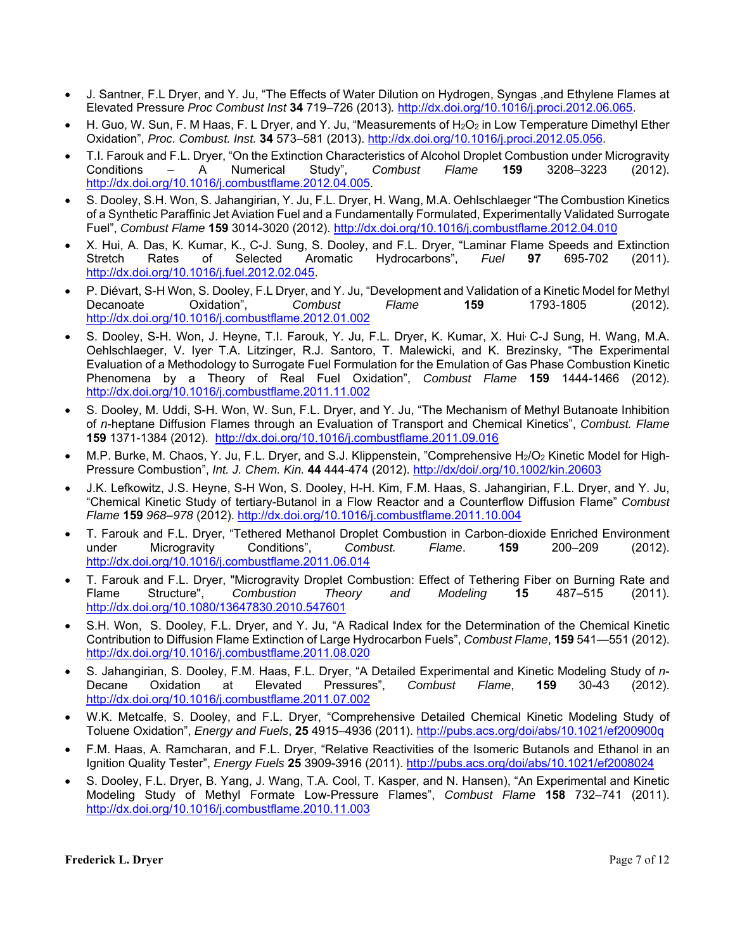- J. Santner, F.L Dryer, and Y. Ju, "The Effects of Water Dilution on Hydrogen, Syngas ,and Ethylene Flames at Elevated Pressure *Proc Combust Inst* **34** 719–726 (2013)*.* http://dx.doi.org/10.1016/j.proci.2012.06.065.
- H. Guo, W. Sun, F. M Haas, F. L Dryer, and Y. Ju, "Measurements of H<sub>2</sub>O<sub>2</sub> in Low Temperature Dimethyl Ether Oxidation", *Proc. Combust. Inst.* **34** 573–581 (2013). http://dx.doi.org/10.1016/j.proci.2012.05.056.
- T.I. Farouk and F.L. Dryer, "On the Extinction Characteristics of Alcohol Droplet Combustion under Microgravity<br>Conditions A Numerical Study", Combust Flame **159** 3208–3223 (2012). Conditions – A Numerical Study", *Combust Flame* **159** 3208–3223 (2012). http://dx.doi.org/10.1016/j.combustflame.2012.04.005.
- S. Dooley, S.H. Won, S. Jahangirian, Y. Ju, F.L. Dryer, H. Wang, M.A. Oehlschlaeger "The Combustion Kinetics of a Synthetic Paraffinic Jet Aviation Fuel and a Fundamentally Formulated, Experimentally Validated Surrogate Fuel", *Combust Flame* **159** 3014-3020 (2012). http://dx.doi.org/10.1016/j.combustflame.2012.04.010
- X. Hui, A. Das, K. Kumar, K., C-J. Sung, S. Dooley, and F.L. Dryer, "Laminar Flame Speeds and Extinction Stretch Rates of Selected Aromatic Hydrocarbons", *Fuel* **97** 695-702 (2011). http://dx.doi.org/10.1016/j.fuel.2012.02.045.
- P. Diévart, S-H Won, S. Dooley, F.L Dryer, and Y. Ju, "Development and Validation of a Kinetic Model for Methyl Decanoate Oxidation", *Combust Flame* **159** 1793-1805 (2012). http://dx.doi.org/10.1016/j.combustflame.2012.01.002
- S. Dooley, S-H. Won, J. Heyne, T.I. Farouk, Y. Ju, F.L. Dryer, K. Kumar, X. Hui, C-J Sung, H. Wang, M.A. Oehlschlaeger, V. Iyer, T.A. Litzinger, R.J. Santoro, T. Malewicki, and K. Brezinsky, "The Experimental Evaluation of a Methodology to Surrogate Fuel Formulation for the Emulation of Gas Phase Combustion Kinetic Phenomena by a Theory of Real Fuel Oxidation", *Combust Flame* **159** 1444-1466 (2012). http://dx.doi.org/10.1016/j.combustflame.2011.11.002
- S. Dooley, M. Uddi, S-H. Won, W. Sun, F.L. Dryer, and Y. Ju, "The Mechanism of Methyl Butanoate Inhibition of *n*-heptane Diffusion Flames through an Evaluation of Transport and Chemical Kinetics", *Combust. Flame*  **159** 1371-1384 (2012). http://dx.doi.org/10.1016/j.combustflame.2011.09.016
- M.P. Burke, M. Chaos, Y. Ju, F.L. Dryer, and S.J. Klippenstein, "Comprehensive H<sub>2</sub>/O<sub>2</sub> Kinetic Model for High-Pressure Combustion", *Int. J. Chem. Kin.* **44** 444-474 (2012). http://dx/doi/.org/10.1002/kin.20603
- J.K. Lefkowitz, J.S. Heyne, S-H Won, S. Dooley, H-H. Kim, F.M. Haas, S. Jahangirian, F.L. Dryer, and Y. Ju, "Chemical Kinetic Study of tertiary-Butanol in a Flow Reactor and a Counterflow Diffusion Flame" *Combust Flame* **159** *968–978* (2012). http://dx.doi.org/10.1016/j.combustflame.2011.10.004
- T. Farouk and F.L. Dryer, "Tethered Methanol Droplet Combustion in Carbon-dioxide Enriched Environment under Microgravity Conditions", *Combust. Flame*. **159** 200–209 (2012). http://dx.doi.org/10.1016/j.combustflame.2011.06.014
- T. Farouk and F.L. Dryer, "Microgravity Droplet Combustion: Effect of Tethering Fiber on Burning Rate and Flame Structure", *Combustion Theory and Modeling* **15** 487–515 (2011). http://dx.doi.org/10.1080/13647830.2010.547601
- S.H. Won, S. Dooley, F.L. Dryer, and Y. Ju, "A Radical Index for the Determination of the Chemical Kinetic Contribution to Diffusion Flame Extinction of Large Hydrocarbon Fuels", *Combust Flame*, **159** 541—551 (2012). http://dx.doi.org/10.1016/j.combustflame.2011.08.020
- S. Jahangirian, S. Dooley, F.M. Haas, F.L. Dryer, "A Detailed Experimental and Kinetic Modeling Study of *n*-Decane Oxidation at Elevated Pressures", *Combust Flame*, **159** 30-43 (2012). http://dx.doi.org/10.1016/j.combustflame.2011.07.002
- W.K. Metcalfe, S. Dooley, and F.L. Dryer, "Comprehensive Detailed Chemical Kinetic Modeling Study of Toluene Oxidation", *Energy and Fuels*, **25** 4915–4936 (2011). http://pubs.acs.org/doi/abs/10.1021/ef200900q
- F.M. Haas, A. Ramcharan, and F.L. Dryer, "Relative Reactivities of the Isomeric Butanols and Ethanol in an Ignition Quality Tester", *Energy Fuels* **25** 3909-3916 (2011). http://pubs.acs.org/doi/abs/10.1021/ef2008024
- S. Dooley, F.L. Dryer, B. Yang, J. Wang, T.A. Cool, T. Kasper, and N. Hansen), "An Experimental and Kinetic Modeling Study of Methyl Formate Low-Pressure Flames", *Combust Flame* **158** 732–741 (2011). http://dx.doi.org/10.1016/j.combustflame.2010.11.003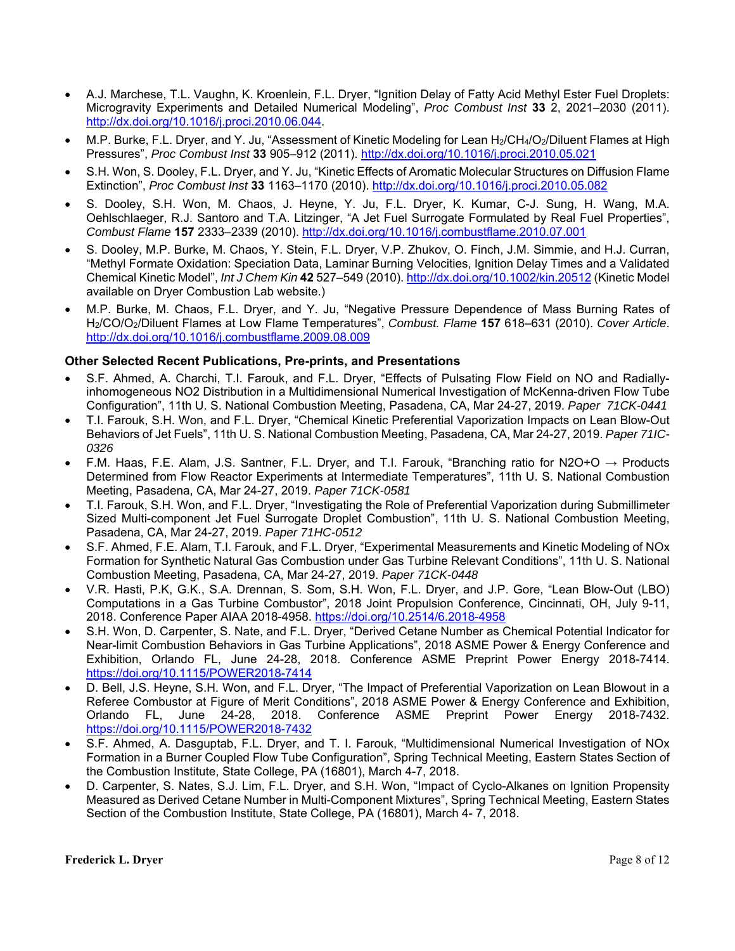- A.J. Marchese, T.L. Vaughn, K. Kroenlein, F.L. Dryer, "Ignition Delay of Fatty Acid Methyl Ester Fuel Droplets: Microgravity Experiments and Detailed Numerical Modeling", *Proc Combust Inst* **33** 2, 2021–2030 (2011). http://dx.doi.org/10.1016/j.proci.2010.06.044.
- M.P. Burke, F.L. Dryer, and Y. Ju, "Assessment of Kinetic Modeling for Lean H<sub>2</sub>/CH<sub>4</sub>/O<sub>2</sub>/Diluent Flames at High Pressures", *Proc Combust Inst* **33** 905–912 (2011). http://dx.doi.org/10.1016/j.proci.2010.05.021
- S.H. Won, S. Dooley, F.L. Dryer, and Y. Ju, "Kinetic Effects of Aromatic Molecular Structures on Diffusion Flame Extinction", *Proc Combust Inst* **33** 1163–1170 (2010). http://dx.doi.org/10.1016/j.proci.2010.05.082
- S. Dooley, S.H. Won, M. Chaos, J. Heyne, Y. Ju, F.L. Dryer, K. Kumar, C-J. Sung, H. Wang, M.A. Oehlschlaeger, R.J. Santoro and T.A. Litzinger, "A Jet Fuel Surrogate Formulated by Real Fuel Properties", *Combust Flame* **157** 2333–2339 (2010). http://dx.doi.org/10.1016/j.combustflame.2010.07.001
- S. Dooley, M.P. Burke, M. Chaos, Y. Stein, F.L. Dryer, V.P. Zhukov, O. Finch, J.M. Simmie, and H.J. Curran, "Methyl Formate Oxidation: Speciation Data, Laminar Burning Velocities, Ignition Delay Times and a Validated Chemical Kinetic Model", *Int J Chem Kin* **42** 527–549 (2010). http://dx.doi.org/10.1002/kin.20512 (Kinetic Model available on Dryer Combustion Lab website.)
- M.P. Burke, M. Chaos, F.L. Dryer, and Y. Ju, "Negative Pressure Dependence of Mass Burning Rates of H2/CO/O2/Diluent Flames at Low Flame Temperatures", *Combust. Flame* **157** 618–631 (2010). *Cover Article*. http://dx.doi.org/10.1016/j.combustflame.2009.08.009

## **Other Selected Recent Publications, Pre-prints, and Presentations**

- S.F. Ahmed, A. Charchi, T.I. Farouk, and F.L. Dryer, "Effects of Pulsating Flow Field on NO and Radiallyinhomogeneous NO2 Distribution in a Multidimensional Numerical Investigation of McKenna-driven Flow Tube Configuration", 11th U. S. National Combustion Meeting, Pasadena, CA, Mar 24-27, 2019. *Paper 71CK-0441*
- T.I. Farouk, S.H. Won, and F.L. Dryer, "Chemical Kinetic Preferential Vaporization Impacts on Lean Blow-Out Behaviors of Jet Fuels", 11th U. S. National Combustion Meeting, Pasadena, CA, Mar 24-27, 2019. *Paper 71IC-0326*
- F.M. Haas, F.E. Alam, J.S. Santner, F.L. Dryer, and T.I. Farouk, "Branching ratio for N2O+O → Products Determined from Flow Reactor Experiments at Intermediate Temperatures", 11th U. S. National Combustion Meeting, Pasadena, CA, Mar 24-27, 2019. *Paper 71CK-0581*
- T.I. Farouk, S.H. Won, and F.L. Dryer, "Investigating the Role of Preferential Vaporization during Submillimeter Sized Multi-component Jet Fuel Surrogate Droplet Combustion", 11th U. S. National Combustion Meeting, Pasadena, CA, Mar 24-27, 2019. *Paper 71HC-0512*
- S.F. Ahmed, F.E. Alam, T.I. Farouk, and F.L. Dryer, "Experimental Measurements and Kinetic Modeling of NOx Formation for Synthetic Natural Gas Combustion under Gas Turbine Relevant Conditions", 11th U. S. National Combustion Meeting, Pasadena, CA, Mar 24-27, 2019. *Paper 71CK-0448*
- V.R. Hasti, P.K, G.K., S.A. Drennan, S. Som, S.H. Won, F.L. Dryer, and J.P. Gore, "Lean Blow-Out (LBO) Computations in a Gas Turbine Combustor", 2018 Joint Propulsion Conference, Cincinnati, OH, July 9-11, 2018. Conference Paper AIAA 2018-4958. https://doi.org/10.2514/6.2018-4958
- S.H. Won, D. Carpenter, S. Nate, and F.L. Dryer, "Derived Cetane Number as Chemical Potential Indicator for Near-limit Combustion Behaviors in Gas Turbine Applications", 2018 ASME Power & Energy Conference and Exhibition, Orlando FL, June 24-28, 2018. Conference ASME Preprint Power Energy 2018-7414. https://doi.org/10.1115/POWER2018-7414
- D. Bell, J.S. Heyne, S.H. Won, and F.L. Dryer, "The Impact of Preferential Vaporization on Lean Blowout in a Referee Combustor at Figure of Merit Conditions", 2018 ASME Power & Energy Conference and Exhibition, Orlando FL, June 24-28, 2018. Conference ASME Preprint Power Energy 2018-7432. https://doi.org/10.1115/POWER2018-7432
- S.F. Ahmed, A. Dasguptab, F.L. Dryer, and T. I. Farouk, "Multidimensional Numerical Investigation of NOx Formation in a Burner Coupled Flow Tube Configuration", Spring Technical Meeting, Eastern States Section of the Combustion Institute, State College, PA (16801), March 4-7, 2018.
- D. Carpenter, S. Nates, S.J. Lim, F.L. Dryer, and S.H. Won, "Impact of Cyclo-Alkanes on Ignition Propensity Measured as Derived Cetane Number in Multi-Component Mixtures", Spring Technical Meeting, Eastern States Section of the Combustion Institute, State College, PA (16801), March 4- 7, 2018.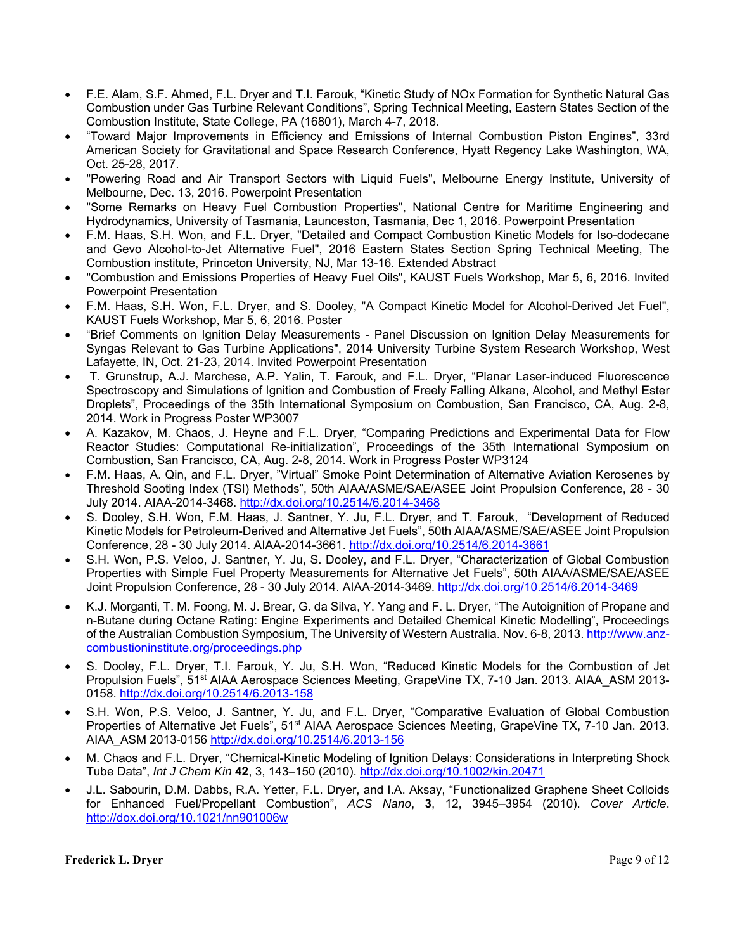- F.E. Alam, S.F. Ahmed, F.L. Dryer and T.I. Farouk, "Kinetic Study of NOx Formation for Synthetic Natural Gas Combustion under Gas Turbine Relevant Conditions", Spring Technical Meeting, Eastern States Section of the Combustion Institute, State College, PA (16801), March 4-7, 2018.
- "Toward Major Improvements in Efficiency and Emissions of Internal Combustion Piston Engines", 33rd American Society for Gravitational and Space Research Conference, Hyatt Regency Lake Washington, WA, Oct. 25-28, 2017.
- "Powering Road and Air Transport Sectors with Liquid Fuels", Melbourne Energy Institute, University of Melbourne, Dec. 13, 2016. Powerpoint Presentation
- "Some Remarks on Heavy Fuel Combustion Properties", National Centre for Maritime Engineering and Hydrodynamics, University of Tasmania, Launceston, Tasmania, Dec 1, 2016. Powerpoint Presentation
- F.M. Haas, S.H. Won, and F.L. Dryer, "Detailed and Compact Combustion Kinetic Models for Iso-dodecane and Gevo Alcohol-to-Jet Alternative Fuel", 2016 Eastern States Section Spring Technical Meeting, The Combustion institute, Princeton University, NJ, Mar 13-16. Extended Abstract
- "Combustion and Emissions Properties of Heavy Fuel Oils", KAUST Fuels Workshop, Mar 5, 6, 2016. Invited Powerpoint Presentation
- F.M. Haas, S.H. Won, F.L. Dryer, and S. Dooley, "A Compact Kinetic Model for Alcohol-Derived Jet Fuel", KAUST Fuels Workshop, Mar 5, 6, 2016. Poster
- "Brief Comments on Ignition Delay Measurements Panel Discussion on Ignition Delay Measurements for Syngas Relevant to Gas Turbine Applications", 2014 University Turbine System Research Workshop, West Lafayette, IN, Oct. 21-23, 2014. Invited Powerpoint Presentation
- T. Grunstrup, A.J. Marchese, A.P. Yalin, T. Farouk, and F.L. Dryer, "Planar Laser-induced Fluorescence Spectroscopy and Simulations of Ignition and Combustion of Freely Falling Alkane, Alcohol, and Methyl Ester Droplets", Proceedings of the 35th International Symposium on Combustion, San Francisco, CA, Aug. 2-8, 2014. Work in Progress Poster WP3007
- A. Kazakov, M. Chaos, J. Heyne and F.L. Dryer, "Comparing Predictions and Experimental Data for Flow Reactor Studies: Computational Re-initialization", Proceedings of the 35th International Symposium on Combustion, San Francisco, CA, Aug. 2-8, 2014. Work in Progress Poster WP3124
- F.M. Haas, A. Qin, and F.L. Dryer, "Virtual" Smoke Point Determination of Alternative Aviation Kerosenes by Threshold Sooting Index (TSI) Methods", 50th AIAA/ASME/SAE/ASEE Joint Propulsion Conference, 28 - 30 July 2014. AIAA-2014-3468. http://dx.doi.org/10.2514/6.2014-3468
- S. Dooley, S.H. Won, F.M. Haas, J. Santner, Y. Ju, F.L. Dryer, and T. Farouk, "Development of Reduced Kinetic Models for Petroleum-Derived and Alternative Jet Fuels", 50th AIAA/ASME/SAE/ASEE Joint Propulsion Conference, 28 - 30 July 2014. AIAA-2014-3661. http://dx.doi.org/10.2514/6.2014-3661
- S.H. Won, P.S. Veloo, J. Santner, Y. Ju, S. Dooley, and F.L. Dryer, "Characterization of Global Combustion Properties with Simple Fuel Property Measurements for Alternative Jet Fuels", 50th AIAA/ASME/SAE/ASEE Joint Propulsion Conference, 28 - 30 July 2014. AIAA-2014-3469. http://dx.doi.org/10.2514/6.2014-3469
- K.J. Morganti, T. M. Foong, M. J. Brear, G. da Silva, Y. Yang and F. L. Dryer, "The Autoignition of Propane and n-Butane during Octane Rating: Engine Experiments and Detailed Chemical Kinetic Modelling", Proceedings of the Australian Combustion Symposium, The University of Western Australia. Nov. 6-8, 2013. http://www.anzcombustioninstitute.org/proceedings.php
- S. Dooley, F.L. Dryer, T.I. Farouk, Y. Ju, S.H. Won, "Reduced Kinetic Models for the Combustion of Jet Propulsion Fuels", 51<sup>st</sup> AIAA Aerospace Sciences Meeting, GrapeVine TX, 7-10 Jan. 2013. AIAA ASM 2013-0158. http://dx.doi.org/10.2514/6.2013-158
- S.H. Won, P.S. Veloo, J. Santner, Y. Ju, and F.L. Dryer, "Comparative Evaluation of Global Combustion Properties of Alternative Jet Fuels", 51<sup>st</sup> AIAA Aerospace Sciences Meeting, GrapeVine TX, 7-10 Jan. 2013. AIAA\_ASM 2013-0156 http://dx.doi.org/10.2514/6.2013-156
- M. Chaos and F.L. Dryer, "Chemical-Kinetic Modeling of Ignition Delays: Considerations in Interpreting Shock Tube Data", *Int J Chem Kin* **42**, 3, 143–150 (2010). http://dx.doi.org/10.1002/kin.20471
- J.L. Sabourin, D.M. Dabbs, R.A. Yetter, F.L. Dryer, and I.A. Aksay, "Functionalized Graphene Sheet Colloids for Enhanced Fuel/Propellant Combustion", *ACS Nano*, **3**, 12, 3945–3954 (2010). *Cover Article*. http://dox.doi.org/10.1021/nn901006w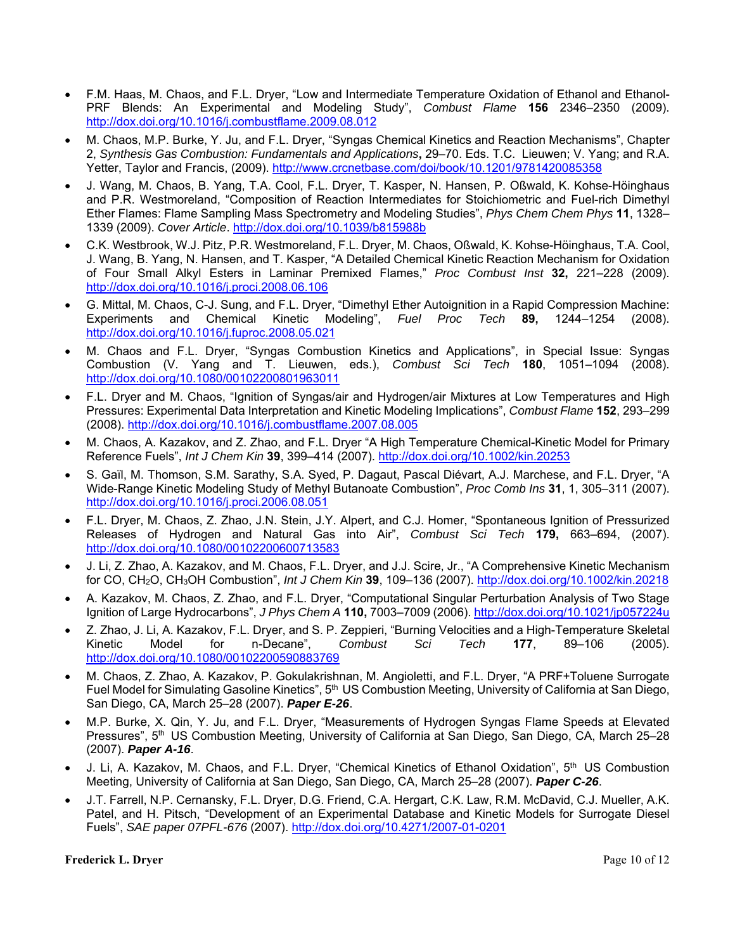- F.M. Haas, M. Chaos, and F.L. Dryer, "Low and Intermediate Temperature Oxidation of Ethanol and Ethanol-PRF Blends: An Experimental and Modeling Study", *Combust Flame* **156** 2346–2350 (2009). http://dox.doi.org/10.1016/j.combustflame.2009.08.012
- M. Chaos, M.P. Burke, Y. Ju, and F.L. Dryer, "Syngas Chemical Kinetics and Reaction Mechanisms", Chapter 2, *Synthesis Gas Combustion: Fundamentals and Applications***,** 29–70. Eds. T.C. Lieuwen; V. Yang; and R.A. Yetter, Taylor and Francis, (2009). http://www.crcnetbase.com/doi/book/10.1201/9781420085358
- J. Wang, M. Chaos, B. Yang, T.A. Cool, F.L. Dryer, T. Kasper, N. Hansen, P. Oßwald, K. Kohse-Höinghaus and P.R. Westmoreland, "Composition of Reaction Intermediates for Stoichiometric and Fuel-rich Dimethyl Ether Flames: Flame Sampling Mass Spectrometry and Modeling Studies", *Phys Chem Chem Phys* **11**, 1328– 1339 (2009). *Cover Article*. http://dox.doi.org/10.1039/b815988b
- C.K. Westbrook, W.J. Pitz, P.R. Westmoreland, F.L. Dryer, M. Chaos, Oßwald, K. Kohse-Höinghaus, T.A. Cool, J. Wang, B. Yang, N. Hansen, and T. Kasper, "A Detailed Chemical Kinetic Reaction Mechanism for Oxidation of Four Small Alkyl Esters in Laminar Premixed Flames," *Proc Combust Inst* **32,** 221–228 (2009). http://dox.doi.org/10.1016/j.proci.2008.06.106
- G. Mittal, M. Chaos, C-J. Sung, and F.L. Dryer, "Dimethyl Ether Autoignition in a Rapid Compression Machine:<br>Experiments and Chemical Kinetic Modeling", *Fuel Proc Tech* 89. 1244–1254 (2008). Experiments and Chemical Kinetic Modeling", *Fuel Proc Tech* **89,** 1244–1254 (2008). http://dox.doi.org/10.1016/j.fuproc.2008.05.021
- M. Chaos and F.L. Dryer, "Syngas Combustion Kinetics and Applications", in Special Issue: Syngas Combustion (V. Yang and T. Lieuwen, eds.), *Combust Sci Tech* **180**, 1051–1094 (2008). http://dox.doi.org/10.1080/00102200801963011
- F.L. Dryer and M. Chaos, "Ignition of Syngas/air and Hydrogen/air Mixtures at Low Temperatures and High Pressures: Experimental Data Interpretation and Kinetic Modeling Implications", *Combust Flame* **152**, 293–299 (2008). http://dox.doi.org/10.1016/j.combustflame.2007.08.005
- M. Chaos, A. Kazakov, and Z. Zhao, and F.L. Dryer "A High Temperature Chemical-Kinetic Model for Primary Reference Fuels", *Int J Chem Kin* **39**, 399–414 (2007). http://dox.doi.org/10.1002/kin.20253
- S. Gaïl, M. Thomson, S.M. Sarathy, S.A. Syed, P. Dagaut, Pascal Diévart, A.J. Marchese, and F.L. Dryer, "A Wide-Range Kinetic Modeling Study of Methyl Butanoate Combustion", *Proc Comb Ins* **31**, 1, 305–311 (2007). http://dox.doi.org/10.1016/j.proci.2006.08.051
- F.L. Dryer, M. Chaos, Z. Zhao, J.N. Stein, J.Y. Alpert, and C.J. Homer, "Spontaneous Ignition of Pressurized Releases of Hydrogen and Natural Gas into Air", *Combust Sci Tech* **179,** 663–694, (2007). http://dox.doi.org/10.1080/00102200600713583
- J. Li, Z. Zhao, A. Kazakov, and M. Chaos, F.L. Dryer, and J.J. Scire, Jr., "A Comprehensive Kinetic Mechanism for CO, CH2O, CH3OH Combustion", *Int J Chem Kin* **39**, 109–136 (2007). http://dox.doi.org/10.1002/kin.20218
- A. Kazakov, M. Chaos, Z. Zhao, and F.L. Dryer, "Computational Singular Perturbation Analysis of Two Stage Ignition of Large Hydrocarbons", *J Phys Chem A* **110,** 7003–7009 (2006). http://dox.doi.org/10.1021/jp057224u
- Z. Zhao, J. Li, A. Kazakov, F.L. Dryer, and S. P. Zeppieri, "Burning Velocities and a High-Temperature Skeletal Kinetic Model for n-Decane", *Combust Sci Tech* **177**, 89–106 (2005). http://dox.doi.org/10.1080/00102200590883769
- M. Chaos, Z. Zhao, A. Kazakov, P. Gokulakrishnan, M. Angioletti, and F.L. Dryer, "A PRF+Toluene Surrogate Fuel Model for Simulating Gasoline Kinetics", 5<sup>th</sup> US Combustion Meeting, University of California at San Diego, San Diego, CA, March 25–28 (2007). *Paper E-26*.
- M.P. Burke, X. Qin, Y. Ju, and F.L. Dryer, "Measurements of Hydrogen Syngas Flame Speeds at Elevated Pressures", 5<sup>th</sup> US Combustion Meeting, University of California at San Diego, San Diego, CA, March 25–28 (2007). *Paper A-16*.
- J. Li, A. Kazakov, M. Chaos, and F.L. Dryer, "Chemical Kinetics of Ethanol Oxidation", 5<sup>th</sup> US Combustion Meeting, University of California at San Diego, San Diego, CA, March 25–28 (2007). *Paper C-26*.
- J.T. Farrell, N.P. Cernansky, F.L. Dryer, D.G. Friend, C.A. Hergart, C.K. Law, R.M. McDavid, C.J. Mueller, A.K. Patel, and H. Pitsch, "Development of an Experimental Database and Kinetic Models for Surrogate Diesel Fuels", *SAE paper 07PFL-676* (2007). http://dox.doi.org/10.4271/2007-01-0201

#### **Frederick L. Dryer** Page 10 of 12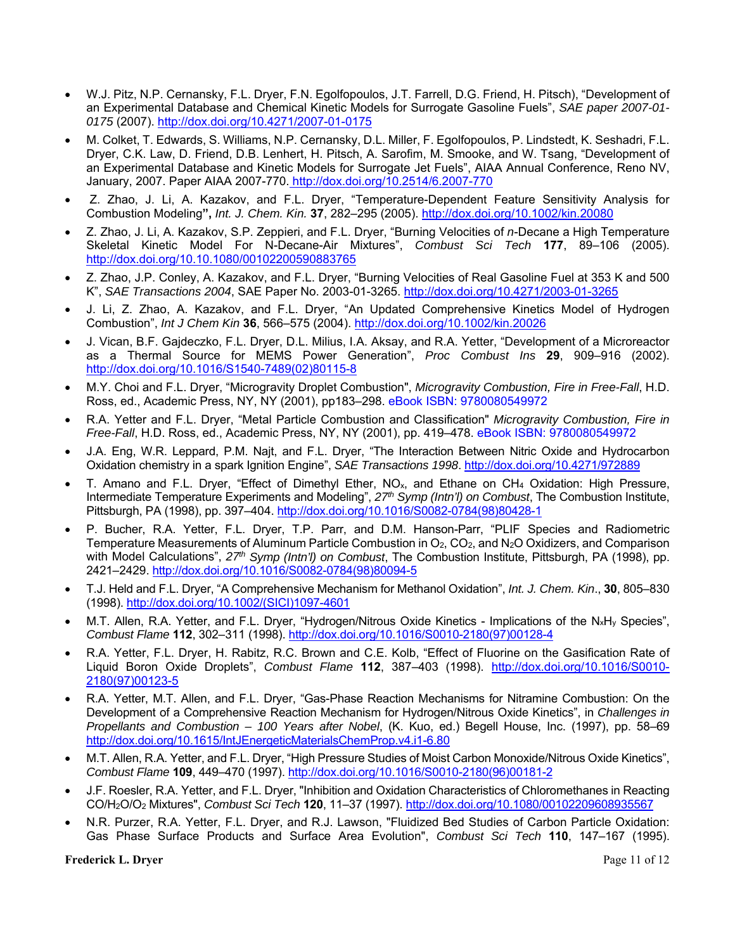- W.J. Pitz, N.P. Cernansky, F.L. Dryer, F.N. Egolfopoulos, J.T. Farrell, D.G. Friend, H. Pitsch), "Development of an Experimental Database and Chemical Kinetic Models for Surrogate Gasoline Fuels", *SAE paper 2007-01- 0175* (2007). http://dox.doi.org/10.4271/2007-01-0175
- M. Colket, T. Edwards, S. Williams, N.P. Cernansky, D.L. Miller, F. Egolfopoulos, P. Lindstedt, K. Seshadri, F.L. Dryer, C.K. Law, D. Friend, D.B. Lenhert, H. Pitsch, A. Sarofim, M. Smooke, and W. Tsang, "Development of an Experimental Database and Kinetic Models for Surrogate Jet Fuels", AIAA Annual Conference, Reno NV, January, 2007. Paper AIAA 2007-770. http://dox.doi.org/10.2514/6.2007-770
- Z. Zhao, J. Li, A. Kazakov, and F.L. Dryer, "Temperature-Dependent Feature Sensitivity Analysis for Combustion Modeling**",** *Int. J. Chem. Kin.* **37**, 282–295 (2005). http://dox.doi.org/10.1002/kin.20080
- Z. Zhao, J. Li, A. Kazakov, S.P. Zeppieri, and F.L. Dryer, "Burning Velocities of *n*-Decane a High Temperature Skeletal Kinetic Model For N-Decane-Air Mixtures", *Combust Sci Tech* **177**, 89–106 (2005). http://dox.doi.org/10.10.1080/00102200590883765
- Z. Zhao, J.P. Conley, A. Kazakov, and F.L. Dryer, "Burning Velocities of Real Gasoline Fuel at 353 K and 500 K", *SAE Transactions 2004*, SAE Paper No. 2003-01-3265. http://dox.doi.org/10.4271/2003-01-3265
- J. Li, Z. Zhao, A. Kazakov, and F.L. Dryer, "An Updated Comprehensive Kinetics Model of Hydrogen Combustion", *Int J Chem Kin* **36**, 566–575 (2004). http://dox.doi.org/10.1002/kin.20026
- J. Vican, B.F. Gajdeczko, F.L. Dryer, D.L. Milius, I.A. Aksay, and R.A. Yetter, "Development of a Microreactor as a Thermal Source for MEMS Power Generation", *Proc Combust Ins* **29**, 909–916 (2002). http://dox.doi.org/10.1016/S1540-7489(02)80115-8
- M.Y. Choi and F.L. Dryer, "Microgravity Droplet Combustion", *Microgravity Combustion, Fire in Free-Fall*, H.D. Ross, ed., Academic Press, NY, NY (2001), pp183–298. eBook ISBN: 9780080549972
- R.A. Yetter and F.L. Dryer, "Metal Particle Combustion and Classification" *Microgravity Combustion, Fire in Free-Fall*, H.D. Ross, ed., Academic Press, NY, NY (2001), pp. 419–478. eBook ISBN: 9780080549972
- J.A. Eng, W.R. Leppard, P.M. Najt, and F.L. Dryer, "The Interaction Between Nitric Oxide and Hydrocarbon Oxidation chemistry in a spark Ignition Engine", *SAE Transactions 1998*. http://dox.doi.org/10.4271/972889
- T. Amano and F.L. Dryer, "Effect of Dimethyl Ether, NOx, and Ethane on CH4 Oxidation: High Pressure, Intermediate Temperature Experiments and Modeling", *27th Symp (Intn'l) on Combust*, The Combustion Institute, Pittsburgh, PA (1998), pp. 397–404. http://dox.doi.org/10.1016/S0082-0784(98)80428-1
- P. Bucher, R.A. Yetter, F.L. Dryer, T.P. Parr, and D.M. Hanson-Parr, "PLIF Species and Radiometric Temperature Measurements of Aluminum Particle Combustion in O<sub>2</sub>, CO<sub>2</sub>, and N<sub>2</sub>O Oxidizers, and Comparison with Model Calculations",  $27<sup>th</sup>$  Symp (Intn'l) on Combust, The Combustion Institute, Pittsburgh, PA (1998), pp. 2421–2429. http://dox.doi.org/10.1016/S0082-0784(98)80094-5
- T.J. Held and F.L. Dryer, "A Comprehensive Mechanism for Methanol Oxidation", *Int. J. Chem. Kin*., **30**, 805–830 (1998). http://dox.doi.org/10.1002/(SICI)1097-4601
- M.T. Allen, R.A. Yetter, and F.L. Dryer, "Hydrogen/Nitrous Oxide Kinetics Implications of the N<sub>x</sub>H<sub>v</sub> Species", *Combust Flame* **112**, 302–311 (1998). http://dox.doi.org/10.1016/S0010-2180(97)00128-4
- R.A. Yetter, F.L. Dryer, H. Rabitz, R.C. Brown and C.E. Kolb, "Effect of Fluorine on the Gasification Rate of Liquid Boron Oxide Droplets", *Combust Flame* **112**, 387–403 (1998). http://dox.doi.org/10.1016/S0010- 2180(97)00123-5
- R.A. Yetter, M.T. Allen, and F.L. Dryer, "Gas-Phase Reaction Mechanisms for Nitramine Combustion: On the Development of a Comprehensive Reaction Mechanism for Hydrogen/Nitrous Oxide Kinetics", in *Challenges in Propellants and Combustion – 100 Years after Nobel*, (K. Kuo, ed.) Begell House, Inc. (1997), pp. 58–69 http://dox.doi.org/10.1615/IntJEnergeticMaterialsChemProp.v4.i1-6.80
- M.T. Allen, R.A. Yetter, and F.L. Dryer, "High Pressure Studies of Moist Carbon Monoxide/Nitrous Oxide Kinetics", *Combust Flame* **109**, 449–470 (1997). http://dox.doi.org/10.1016/S0010-2180(96)00181-2
- J.F. Roesler, R.A. Yetter, and F.L. Dryer, "Inhibition and Oxidation Characteristics of Chloromethanes in Reacting CO/H2O/O2 Mixtures", *Combust Sci Tech* **120**, 11–37 (1997). http://dox.doi.org/10.1080/00102209608935567
- N.R. Purzer, R.A. Yetter, F.L. Dryer, and R.J. Lawson, "Fluidized Bed Studies of Carbon Particle Oxidation: Gas Phase Surface Products and Surface Area Evolution", *Combust Sci Tech* **110**, 147–167 (1995).

**Frederick L. Dryer** Page 11 of 12